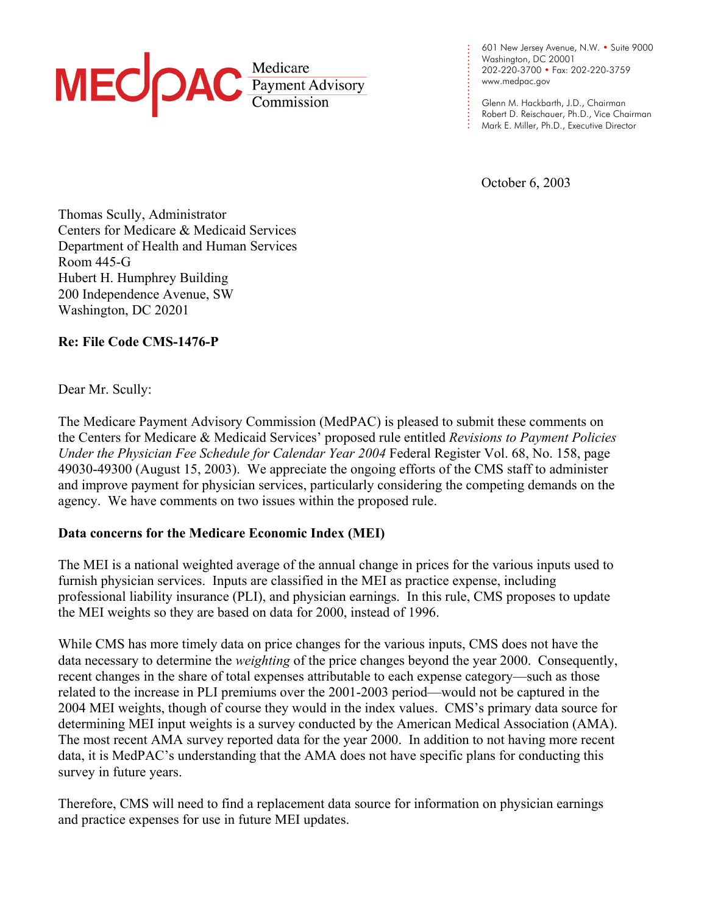

601 New Jersey Avenue, N.W. • Suite 9000 Washington, DC 20001 202-220-3700 • Fax: 202-220-3759 [www.medpac.gov](http://www.medpac.gov)

Glenn M. Hackbarth, J.D., Chairman Robert D. Reischauer, Ph.D., Vice Chairman Mark E. Miller, Ph.D., Executive Director

October 6, 2003

. . . . . . . . . . . . . . . . . . . . . . .

Thomas Scully, Administrator Centers for Medicare & Medicaid Services Department of Health and Human Services Room 445-G Hubert H. Humphrey Building 200 Independence Avenue, SW Washington, DC 20201

**Re: File Code CMS-1476-P** 

Dear Mr. Scully:

The Medicare Payment Advisory Commission (MedPAC) is pleased to submit these comments on the Centers for Medicare & Medicaid Services' proposed rule entitled *Revisions to Payment Policies Under the Physician Fee Schedule for Calendar Year 2004 Federal Register Vol. 68, No. 158, page* 49030-49300 (August 15, 2003). We appreciate the ongoing efforts of the CMS staff to administer and improve payment for physician services, particularly considering the competing demands on the agency. We have comments on two issues within the proposed rule.

## **Data concerns for the Medicare Economic Index (MEI)**

The MEI is a national weighted average of the annual change in prices for the various inputs used to furnish physician services. Inputs are classified in the MEI as practice expense, including professional liability insurance (PLI), and physician earnings. In this rule, CMS proposes to update the MEI weights so they are based on data for 2000, instead of 1996.

While CMS has more timely data on price changes for the various inputs, CMS does not have the data necessary to determine the *weighting* of the price changes beyond the year 2000. Consequently, recent changes in the share of total expenses attributable to each expense category—such as those related to the increase in PLI premiums over the 2001-2003 period—would not be captured in the 2004 MEI weights, though of course they would in the index values. CMS's primary data source for determining MEI input weights is a survey conducted by the American Medical Association (AMA). The most recent AMA survey reported data for the year 2000. In addition to not having more recent data, it is MedPAC's understanding that the AMA does not have specific plans for conducting this survey in future years.

Therefore, CMS will need to find a replacement data source for information on physician earnings and practice expenses for use in future MEI updates.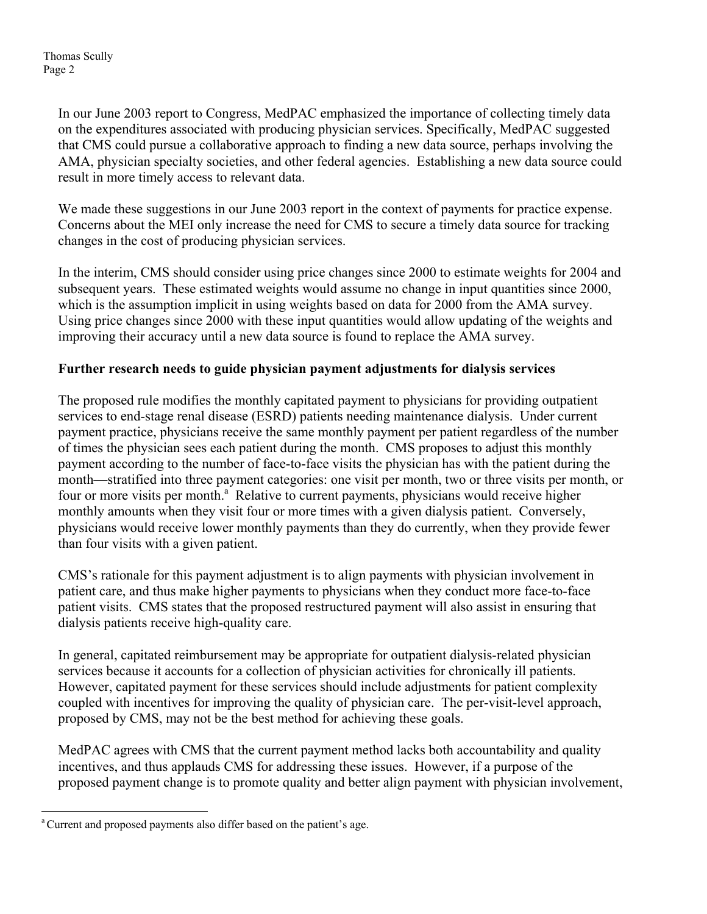Thomas Scully Page 2

> In our June 2003 report to Congress, MedPAC emphasized the importance of collecting timely data on the expenditures associated with producing physician services. Specifically, MedPAC suggested that CMS could pursue a collaborative approach to finding a new data source, perhaps involving the AMA, physician specialty societies, and other federal agencies. Establishing a new data source could result in more timely access to relevant data.

We made these suggestions in our June 2003 report in the context of payments for practice expense. Concerns about the MEI only increase the need for CMS to secure a timely data source for tracking changes in the cost of producing physician services.

In the interim, CMS should consider using price changes since 2000 to estimate weights for 2004 and subsequent years. These estimated weights would assume no change in input quantities since 2000, which is the assumption implicit in using weights based on data for 2000 from the AMA survey. Using price changes since 2000 with these input quantities would allow updating of the weights and improving their accuracy until a new data source is found to replace the AMA survey.

## **Further research needs to guide physician payment adjustments for dialysis services**

The proposed rule modifies the monthly capitated payment to physicians for providing outpatient services to end-stage renal disease (ESRD) patients needing maintenance dialysis. Under current payment practice, physicians receive the same monthly payment per patient regardless of the number of times the physician sees each patient during the month. CMS proposes to adjust this monthly payment according to the number of face-to-face visits the physician has with the patient during the month—stratified into three payment categories: one visit per month, two or three visits per month, or four or more visits per month.<sup>[a](#page-1-0)'</sup> Relative to current payments, physicians would receive higher monthly amounts when they visit four or more times with a given dialysis patient. Conversely, physicians would receive lower monthly payments than they do currently, when they provide fewer than four visits with a given patient.

CMS's rationale for this payment adjustment is to align payments with physician involvement in patient care, and thus make higher payments to physicians when they conduct more face-to-face patient visits. CMS states that the proposed restructured payment will also assist in ensuring that dialysis patients receive high-quality care.

In general, capitated reimbursement may be appropriate for outpatient dialysis-related physician services because it accounts for a collection of physician activities for chronically ill patients. However, capitated payment for these services should include adjustments for patient complexity coupled with incentives for improving the quality of physician care. The per-visit-level approach, proposed by CMS, may not be the best method for achieving these goals.

MedPAC agrees with CMS that the current payment method lacks both accountability and quality incentives, and thus applauds CMS for addressing these issues. However, if a purpose of the proposed payment change is to promote quality and better align payment with physician involvement,

<u>.</u>

<span id="page-1-0"></span><sup>&</sup>lt;sup>a</sup> Current and proposed payments also differ based on the patient's age.